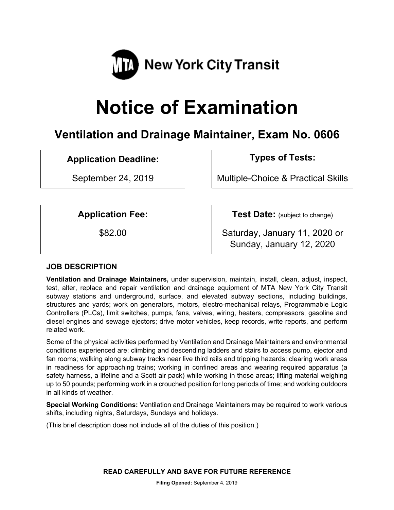

# **Notice of Examination**

# **Ventilation and Drainage Maintainer, Exam No. 0606**

# **Application Deadline: Types of Tests:**

September 24, 2019 Multiple-Choice & Practical Skills

**Application Fee:**  $\vert$  **Test Date:** (subject to change)

\$82.00 Saturday, January 11, 2020 or Sunday, January 12, 2020

# **JOB DESCRIPTION**

**Ventilation and Drainage Maintainers,** under supervision, maintain, install, clean, adjust, inspect, test, alter, replace and repair ventilation and drainage equipment of MTA New York City Transit subway stations and underground, surface, and elevated subway sections, including buildings, structures and yards; work on generators, motors, electro-mechanical relays, Programmable Logic Controllers (PLCs), limit switches, pumps, fans, valves, wiring, heaters, compressors, gasoline and diesel engines and sewage ejectors; drive motor vehicles, keep records, write reports, and perform related work.

Some of the physical activities performed by Ventilation and Drainage Maintainers and environmental conditions experienced are: climbing and descending ladders and stairs to access pump, ejector and fan rooms; walking along subway tracks near live third rails and tripping hazards; clearing work areas in readiness for approaching trains; working in confined areas and wearing required apparatus (a safety harness, a lifeline and a Scott air pack) while working in those areas; lifting material weighing up to 50 pounds; performing work in a crouched position for long periods of time; and working outdoors in all kinds of weather.

**Special Working Conditions:** Ventilation and Drainage Maintainers may be required to work various shifts, including nights, Saturdays, Sundays and holidays.

(This brief description does not include all of the duties of this position.)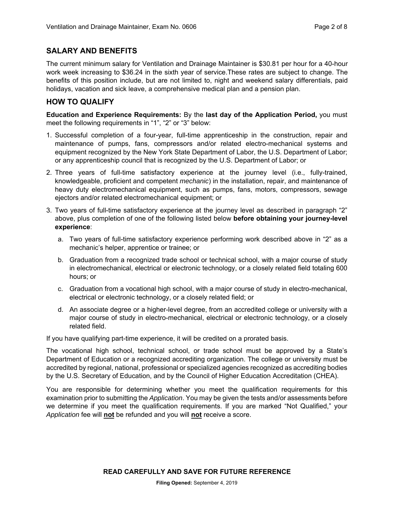# **SALARY AND BENEFITS**

The current minimum salary for Ventilation and Drainage Maintainer is \$30.81 per hour for a 40-hour work week increasing to \$36.24 in the sixth year of service.These rates are subject to change. The benefits of this position include, but are not limited to, night and weekend salary differentials, paid holidays, vacation and sick leave, a comprehensive medical plan and a pension plan.

# **HOW TO QUALIFY**

**Education and Experience Requirements:** By the **last day of the Application Period,** you must meet the following requirements in "1", "2" or "3" below:

- 1. Successful completion of a four-year, full-time apprenticeship in the construction, repair and maintenance of pumps, fans, compressors and/or related electro-mechanical systems and equipment recognized by the New York State Department of Labor, the U.S. Department of Labor; or any apprenticeship council that is recognized by the U.S. Department of Labor; or
- 2. Three years of full-time satisfactory experience at the journey level (i.e., fully-trained, knowledgeable, proficient and competent *mechanic*) in the installation, repair, and maintenance of heavy duty electromechanical equipment, such as pumps, fans, motors, compressors, sewage ejectors and/or related electromechanical equipment; or
- 3. Two years of full-time satisfactory experience at the journey level as described in paragraph "2" above, plus completion of one of the following listed below **before obtaining your journey-level experience**:
	- a. Two years of full-time satisfactory experience performing work described above in "2" as a mechanic's helper, apprentice or trainee; or
	- b. Graduation from a recognized trade school or technical school, with a major course of study in electromechanical, electrical or electronic technology, or a closely related field totaling 600 hours; or
	- c. Graduation from a vocational high school, with a major course of study in electro-mechanical, electrical or electronic technology, or a closely related field; or
	- d. An associate degree or a higher-level degree, from an accredited college or university with a major course of study in electro-mechanical, electrical or electronic technology, or a closely related field.

If you have qualifying part-time experience, it will be credited on a prorated basis.

The vocational high school, technical school, or trade school must be approved by a State's Department of Education or a recognized accrediting organization. The college or university must be accredited by regional, national, professional or specialized agencies recognized as accrediting bodies by the U.S. Secretary of Education, and by the Council of Higher Education Accreditation (CHEA).

You are responsible for determining whether you meet the qualification requirements for this examination prior to submitting the *Application*. You may be given the tests and/or assessments before we determine if you meet the qualification requirements. If you are marked "Not Qualified," your *Application* fee will **not** be refunded and you will **not** receive a score.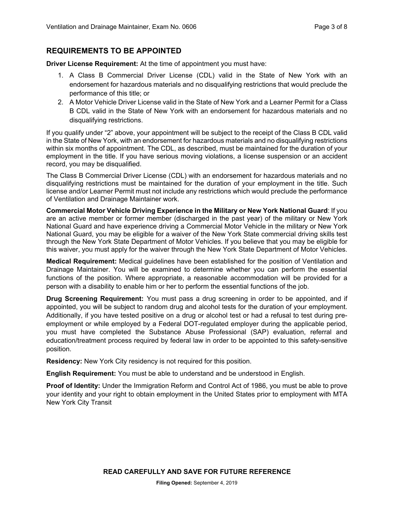# **REQUIREMENTS TO BE APPOINTED**

**Driver License Requirement:** At the time of appointment you must have:

- 1. A Class B Commercial Driver License (CDL) valid in the State of New York with an endorsement for hazardous materials and no disqualifying restrictions that would preclude the performance of this title; or
- 2. A Motor Vehicle Driver License valid in the State of New York and a Learner Permit for a Class B CDL valid in the State of New York with an endorsement for hazardous materials and no disqualifying restrictions.

If you qualify under "2" above, your appointment will be subject to the receipt of the Class B CDL valid in the State of New York, with an endorsement for hazardous materials and no disqualifying restrictions within six months of appointment. The CDL, as described, must be maintained for the duration of your employment in the title. If you have serious moving violations, a license suspension or an accident record, you may be disqualified.

The Class B Commercial Driver License (CDL) with an endorsement for hazardous materials and no disqualifying restrictions must be maintained for the duration of your employment in the title. Such license and/or Learner Permit must not include any restrictions which would preclude the performance of Ventilation and Drainage Maintainer work.

**Commercial Motor Vehicle Driving Experience in the Military or New York National Guard**: If you are an active member or former member (discharged in the past year) of the military or New York National Guard and have experience driving a Commercial Motor Vehicle in the military or New York National Guard, you may be eligible for a waiver of the New York State commercial driving skills test through the New York State Department of Motor Vehicles. If you believe that you may be eligible for this waiver, you must apply for the waiver through the New York State Department of Motor Vehicles.

**Medical Requirement:** Medical guidelines have been established for the position of Ventilation and Drainage Maintainer. You will be examined to determine whether you can perform the essential functions of the position. Where appropriate, a reasonable accommodation will be provided for a person with a disability to enable him or her to perform the essential functions of the job.

**Drug Screening Requirement:** You must pass a drug screening in order to be appointed, and if appointed, you will be subject to random drug and alcohol tests for the duration of your employment. Additionally, if you have tested positive on a drug or alcohol test or had a refusal to test during preemployment or while employed by a Federal DOT-regulated employer during the applicable period, you must have completed the Substance Abuse Professional (SAP) evaluation, referral and education/treatment process required by federal law in order to be appointed to this safety-sensitive position.

**Residency:** New York City residency is not required for this position.

**English Requirement:** You must be able to understand and be understood in English.

**Proof of Identity:** Under the Immigration Reform and Control Act of 1986, you must be able to prove your identity and your right to obtain employment in the United States prior to employment with MTA New York City Transit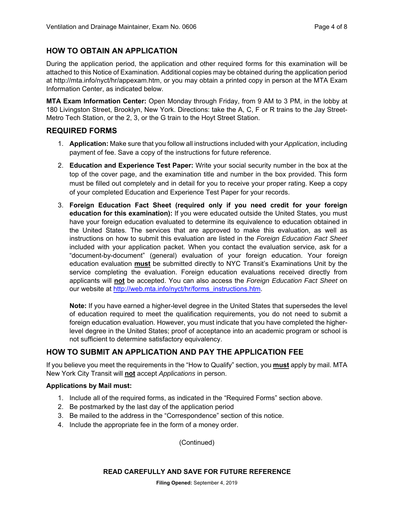# **HOW TO OBTAIN AN APPLICATION**

During the application period, the application and other required forms for this examination will be attached to this Notice of Examination. Additional copies may be obtained during the application period at http://mta.info/nyct/hr/appexam.htm, or you may obtain a printed copy in person at the MTA Exam Information Center, as indicated below.

**MTA Exam Information Center:** Open Monday through Friday, from 9 AM to 3 PM, in the lobby at 180 Livingston Street, Brooklyn, New York. Directions: take the A, C, F or R trains to the Jay Street-Metro Tech Station, or the 2, 3, or the G train to the Hoyt Street Station.

## **REQUIRED FORMS**

- 1. **Application:** Make sure that you follow all instructions included with your *Application*, including payment of fee. Save a copy of the instructions for future reference.
- 2. **Education and Experience Test Paper:** Write your social security number in the box at the top of the cover page, and the examination title and number in the box provided. This form must be filled out completely and in detail for you to receive your proper rating. Keep a copy of your completed Education and Experience Test Paper for your records.
- 3. **Foreign Education Fact Sheet (required only if you need credit for your foreign education for this examination):** If you were educated outside the United States, you must have your foreign education evaluated to determine its equivalence to education obtained in the United States. The services that are approved to make this evaluation, as well as instructions on how to submit this evaluation are listed in the *Foreign Education Fact Sheet* included with your application packet. When you contact the evaluation service, ask for a "document-by-document" (general) evaluation of your foreign education. Your foreign education evaluation **must** be submitted directly to NYC Transit's Examinations Unit by the service completing the evaluation. Foreign education evaluations received directly from applicants will **not** be accepted. You can also access the *Foreign Education Fact Sheet* on our website at http://web.mta.info/nyct/hr/forms\_instructions.htm.

**Note:** If you have earned a higher-level degree in the United States that supersedes the level of education required to meet the qualification requirements, you do not need to submit a foreign education evaluation. However, you must indicate that you have completed the higherlevel degree in the United States; proof of acceptance into an academic program or school is not sufficient to determine satisfactory equivalency.

# **HOW TO SUBMIT AN APPLICATION AND PAY THE APPLICATION FEE**

If you believe you meet the requirements in the "How to Qualify" section, you **must** apply by mail. MTA New York City Transit will **not** accept *Applications* in person.

#### **Applications by Mail must:**

- 1. Include all of the required forms, as indicated in the "Required Forms" section above.
- 2. Be postmarked by the last day of the application period
- 3. Be mailed to the address in the "Correspondence" section of this notice.
- 4. Include the appropriate fee in the form of a money order.

(Continued)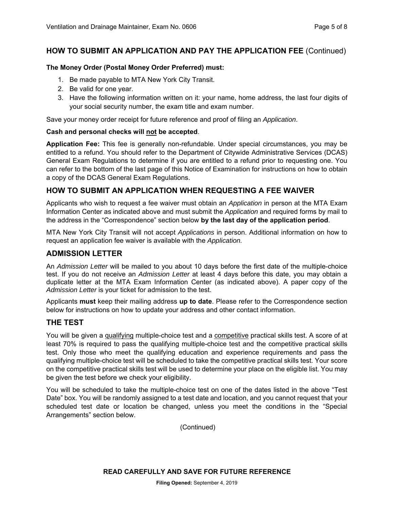# **HOW TO SUBMIT AN APPLICATION AND PAY THE APPLICATION FEE** (Continued)

#### **The Money Order (Postal Money Order Preferred) must:**

- 1. Be made payable to MTA New York City Transit.
- 2. Be valid for one year.
- 3. Have the following information written on it: your name, home address, the last four digits of your social security number, the exam title and exam number.

Save your money order receipt for future reference and proof of filing an *Application*.

#### **Cash and personal checks will not be accepted**.

**Application Fee:** This fee is generally non-refundable. Under special circumstances, you may be entitled to a refund. You should refer to the Department of Citywide Administrative Services (DCAS) General Exam Regulations to determine if you are entitled to a refund prior to requesting one. You can refer to the bottom of the last page of this Notice of Examination for instructions on how to obtain a copy of the DCAS General Exam Regulations.

# **HOW TO SUBMIT AN APPLICATION WHEN REQUESTING A FEE WAIVER**

Applicants who wish to request a fee waiver must obtain an *Application* in person at the MTA Exam Information Center as indicated above and must submit the *Application* and required forms by mail to the address in the "Correspondence" section below **by the last day of the application period**.

MTA New York City Transit will not accept *Applications* in person. Additional information on how to request an application fee waiver is available with the *Application.*

#### **ADMISSION LETTER**

An *Admission Letter* will be mailed to you about 10 days before the first date of the multiple-choice test. If you do not receive an *Admission Letter* at least 4 days before this date, you may obtain a duplicate letter at the MTA Exam Information Center (as indicated above). A paper copy of the *Admission Letter* is your ticket for admission to the test.

Applicants **must** keep their mailing address **up to date**. Please refer to the Correspondence section below for instructions on how to update your address and other contact information.

# **THE TEST**

You will be given a qualifying multiple-choice test and a competitive practical skills test. A score of at least 70% is required to pass the qualifying multiple-choice test and the competitive practical skills test. Only those who meet the qualifying education and experience requirements and pass the qualifying multiple-choice test will be scheduled to take the competitive practical skills test. Your score on the competitive practical skills test will be used to determine your place on the eligible list. You may be given the test before we check your eligibility.

You will be scheduled to take the multiple-choice test on one of the dates listed in the above "Test Date" box. You will be randomly assigned to a test date and location, and you cannot request that your scheduled test date or location be changed, unless you meet the conditions in the "Special Arrangements" section below.

(Continued)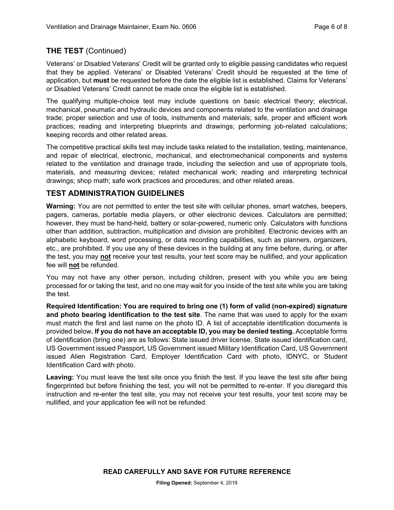# **THE TEST** (Continued)

Veterans' or Disabled Veterans' Credit will be granted only to eligible passing candidates who request that they be applied. Veterans' or Disabled Veterans' Credit should be requested at the time of application, but **must** be requested before the date the eligible list is established. Claims for Veterans' or Disabled Veterans' Credit cannot be made once the eligible list is established.

The qualifying multiple-choice test may include questions on basic electrical theory; electrical, mechanical, pneumatic and hydraulic devices and components related to the ventilation and drainage trade; proper selection and use of tools, instruments and materials; safe, proper and efficient work practices; reading and interpreting blueprints and drawings; performing job-related calculations; keeping records and other related areas.

The competitive practical skills test may include tasks related to the installation, testing, maintenance, and repair of electrical, electronic, mechanical, and electromechanical components and systems related to the ventilation and drainage trade, including the selection and use of appropriate tools, materials, and measuring devices; related mechanical work; reading and interpreting technical drawings; shop math; safe work practices and procedures; and other related areas.

## **TEST ADMINISTRATION GUIDELINES**

**Warning:** You are not permitted to enter the test site with cellular phones, smart watches, beepers, pagers, cameras, portable media players, or other electronic devices. Calculators are permitted; however, they must be hand-held, battery or solar-powered, numeric only. Calculators with functions other than addition, subtraction, multiplication and division are prohibited. Electronic devices with an alphabetic keyboard, word processing, or data recording capabilities, such as planners, organizers, etc., are prohibited. If you use any of these devices in the building at any time before, during, or after the test, you may **not** receive your test results, your test score may be nullified, and your application fee will **not** be refunded.

You may not have any other person, including children, present with you while you are being processed for or taking the test, and no one may wait for you inside of the test site while you are taking the test.

**Required Identification: You are required to bring one (1) form of valid (non-expired) signature and photo bearing identification to the test site**. The name that was used to apply for the exam must match the first and last name on the photo ID. A list of acceptable identification documents is provided below**. If you do not have an acceptable ID, you may be denied testing.** Acceptable forms of identification (bring one) are as follows: State issued driver license, State issued identification card, US Government issued Passport, US Government issued Military Identification Card, US Government issued Alien Registration Card, Employer Identification Card with photo, IDNYC, or Student Identification Card with photo.

**Leaving:** You must leave the test site once you finish the test. If you leave the test site after being fingerprinted but before finishing the test, you will not be permitted to re-enter. If you disregard this instruction and re-enter the test site, you may not receive your test results, your test score may be nullified, and your application fee will not be refunded.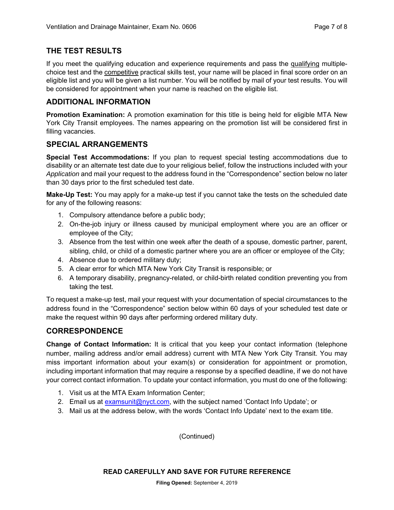# **THE TEST RESULTS**

If you meet the qualifying education and experience requirements and pass the qualifying multiplechoice test and the competitive practical skills test, your name will be placed in final score order on an eligible list and you will be given a list number. You will be notified by mail of your test results. You will be considered for appointment when your name is reached on the eligible list.

# **ADDITIONAL INFORMATION**

**Promotion Examination:** A promotion examination for this title is being held for eligible MTA New York City Transit employees. The names appearing on the promotion list will be considered first in filling vacancies.

# **SPECIAL ARRANGEMENTS**

**Special Test Accommodations:** If you plan to request special testing accommodations due to disability or an alternate test date due to your religious belief, follow the instructions included with your *Application* and mail your request to the address found in the "Correspondence" section below no later than 30 days prior to the first scheduled test date.

**Make-Up Test:** You may apply for a make-up test if you cannot take the tests on the scheduled date for any of the following reasons:

- 1. Compulsory attendance before a public body;
- 2. On-the-job injury or illness caused by municipal employment where you are an officer or employee of the City;
- 3. Absence from the test within one week after the death of a spouse, domestic partner, parent, sibling, child, or child of a domestic partner where you are an officer or employee of the City;
- 4. Absence due to ordered military duty;
- 5. A clear error for which MTA New York City Transit is responsible; or
- 6. A temporary disability, pregnancy-related, or child-birth related condition preventing you from taking the test.

To request a make-up test, mail your request with your documentation of special circumstances to the address found in the "Correspondence" section below within 60 days of your scheduled test date or make the request within 90 days after performing ordered military duty.

# **CORRESPONDENCE**

**Change of Contact Information:** It is critical that you keep your contact information (telephone number, mailing address and/or email address) current with MTA New York City Transit. You may miss important information about your exam(s) or consideration for appointment or promotion, including important information that may require a response by a specified deadline, if we do not have your correct contact information. To update your contact information, you must do one of the following:

- 1. Visit us at the MTA Exam Information Center;
- 2. Email us at examsunit@nyct.com, with the subject named 'Contact Info Update'; or
- 3. Mail us at the address below, with the words 'Contact Info Update' next to the exam title.

(Continued)